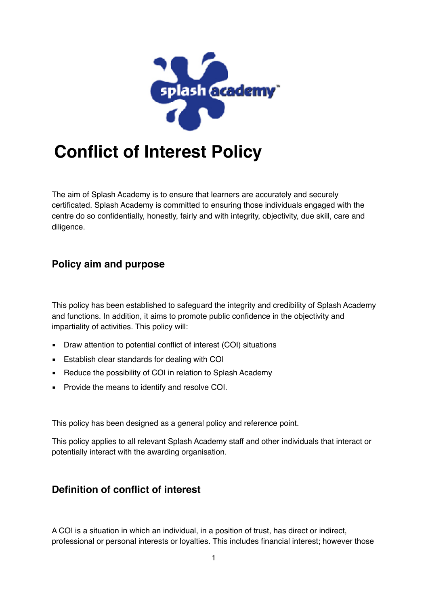

# **Conflict of Interest Policy**

The aim of Splash Academy is to ensure that learners are accurately and securely certificated. Splash Academy is committed to ensuring those individuals engaged with the centre do so confidentially, honestly, fairly and with integrity, objectivity, due skill, care and diligence.

# **Policy aim and purpose**

This policy has been established to safeguard the integrity and credibility of Splash Academy and functions. In addition, it aims to promote public confidence in the objectivity and impartiality of activities. This policy will:

- Draw attention to potential conflict of interest (COI) situations
- **Establish clear standards for dealing with COI**
- Reduce the possibility of COI in relation to Splash Academy
- Provide the means to identify and resolve COI.

This policy has been designed as a general policy and reference point.

This policy applies to all relevant Splash Academy staff and other individuals that interact or potentially interact with the awarding organisation.

# **Definition of conflict of interest**

A COI is a situation in which an individual, in a position of trust, has direct or indirect, professional or personal interests or loyalties. This includes financial interest; however those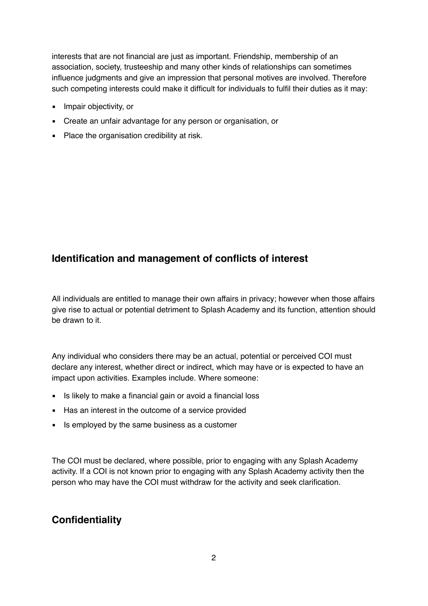interests that are not financial are just as important. Friendship, membership of an association, society, trusteeship and many other kinds of relationships can sometimes influence judgments and give an impression that personal motives are involved. Therefore such competing interests could make it difficult for individuals to fulfil their duties as it may:

- **·** Impair objectivity, or
- Create an unfair advantage for any person or organisation, or
- Place the organisation credibility at risk.

### **Identification and management of conflicts of interest**

All individuals are entitled to manage their own affairs in privacy; however when those affairs give rise to actual or potential detriment to Splash Academy and its function, attention should be drawn to it.

Any individual who considers there may be an actual, potential or perceived COI must declare any interest, whether direct or indirect, which may have or is expected to have an impact upon activities. Examples include. Where someone:

- Is likely to make a financial gain or avoid a financial loss
- Has an interest in the outcome of a service provided
- **EXE** Is employed by the same business as a customer

The COI must be declared, where possible, prior to engaging with any Splash Academy activity. If a COI is not known prior to engaging with any Splash Academy activity then the person who may have the COI must withdraw for the activity and seek clarification.

### **Confidentiality**